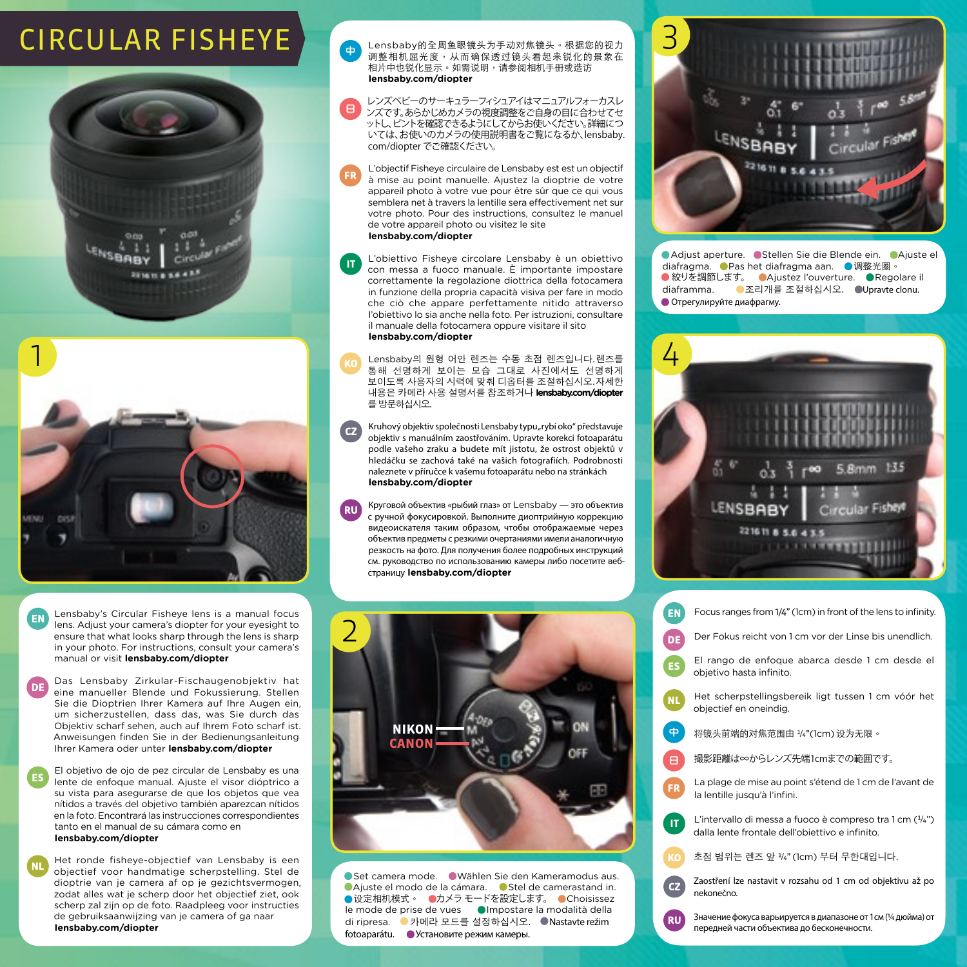## CIRCULAR FISHEYE





Lensbaby's Circular Fisheye lens is a manual focus EN lens. Adjust your camera's diopter for your eyesight to ensure that what looks sharp through the lens is sharp in your photo. For instructions, consult your camera's manual or visit **lensbaby.com/diopter**

Das Lensbaby Zirkular-Fischaugenobjektiv hat DE<sup>1</sup> eine manueller Blende und Fokussierung. Stellen Sie die Dioptrien Ihrer Kamera auf Ihre Augen ein, um sicherzustellen, dass das, was Sie durch das Objektiv scharf sehen, auch auf Ihrem Foto scharf ist. Anweisungen finden Sie in der Bedienungsanleitung Ihrer Kamera oder unter **lensbaby.com/diopter**

El objetivo de ojo de pez circular de Lensbaby es una lente de enfoque manual. Ajuste el visor dióptrico a su vista para asegurarse de que los objetos que vea nítidos a través del objetivo también aparezcan nítidos en la foto. Encontrará las instrucciones correspondientes tanto en el manual de su cámara como en **lensbaby.com/diopter**

(NL

Het ronde fisheye-objectief van Lensbaby is een objectief voor handmatige scherpstelling. Stel de dioptrie van je camera af op je gezichtsvermogen, zodat alles wat je scherp door het objectief ziet, ook scherp zal zijn op de foto. Raadpleeg voor instructies de gebruiksaanwijzing van je camera of ga naar **lensbaby.com/diopter**

Lensbaby的全周鱼眼镜头为手动对焦镜头。根据您的视力 调整相机屈光度,从而确保透过镜头看起来锐化的景象在 相片中也锐化显示。如需说明,请参阅相机手册或造访 **lensbaby.com/diopter** 中

レンズベビーのサーキュラーフィシュアイはマニュアルフォーカスレ ンズです。あらかじめカメラの視度調整をご自身の目に合わせてセ ットし、ピントを確認できるようにしてからお使いください。詳細につ いては、お使いのカメラの使用説明書をご覧になるか、lensbaby. com/diopter でご確認ください。 日

L'objectif Fisheye circulaire de Lensbaby est est un objectif à mise au point manuelle. Ajustez la dioptrie de votre appareil photo à votre vue pour être sûr que ce qui vous semblera net à travers la lentille sera effectivement net sur votre photo. Pour des instructions, consultez le manuel de votre appareil photo ou visitez le site **lensbaby.com/diopter**

L'obiettivo Fisheye circolare Lensbaby è un obiettivo con messa a fuoco manuale. È importante impostare correttamente la regolazione diottrica della fotocamera in funzione della propria capacità visiva per fare in modo che ciò che appare perfettamente nitido attraverso l'obiettivo lo sia anche nella foto. Per istruzioni, consultare il manuale della fotocamera oppure visitare il sito **lensbaby.com/diopter IT**

Lensbaby의 원형 어안 렌즈는 수동 초점 렌즈입니다.렌즈를 통해 선명하게 보이는 모습 그대로 사진에서도 선명하게 보이도록 사용자의 시력에 맞춰 디옵터를 조절하십시오.자세한 내용은 카메라 사용 설명서를 참조하거나 **lensbaby.com/diopter** 를 방문하십시오.

Kruhový objektiv společnosti Lensbaby typu"rybí oko" představuje  $\mathbf{CZ}$ objektiv s manuálním zaostřováním. Upravte korekci fotoaparátu podle vašeho zraku a budete mít jistotu, že ostrost objektů v hledáčku se zachová také na vašich fotografiích. Podrobnosti naleznete v příručce k vašemu fotoaparátu nebo na stránkách **lensbaby.com/diopter**

Круговой объектив «рыбий глаз» от Lensbaby — это объектив с ручной фокусировкой. Выполните диоптрийную коррекцию видеоискателя таким образом, чтобы отображаемые через объектив предметы с резкими очертаниями имели аналогичную резкость на фото. Для получения более подробных инструкций см. руководство по использованию камеры либо посетите вебстраницу **lensbaby.com/diopter**



 Adjust aperture. Stellen Sie die Blende ein. Ajuste el diafragma. ● Pas het diafragma aan. ● 调整光圈。 ● 絞りを調節します。 ● Ajustez l'ouverture. ● Regolare il diaframma. • 조리개를 조절하십시오. • Upravte clonu. Отрегулируйте диафрагму.





Set camera mode. Wählen Sie den Kameramodus aus. Ajuste el modo de la cámara. Stel de camerastand in. ● 设定相机模式。 ●カメラ モードを設定します。 ● Choisissez le mode de prise de vues **Impostare la modalità della** di ripresa. • 카메라 모드를 설정하십시오. • Nastavte režim fotoaparátu. • Установите режим камеры.

| Focus ranges from 1/4" (1cm) in front of the lens to infinity.                                                  |
|-----------------------------------------------------------------------------------------------------------------|
| Der Fokus reicht von 1 cm vor der Linse bis unendlich.                                                          |
| El rango de enfoque abarca desde 1 cm desde el<br>objetivo hasta infinito.                                      |
| Het scherpstellingsbereik ligt tussen 1 cm vóór het<br>objectief en oneindig.                                   |
| 将镜头前端的对焦范围由 ½"(1cm) 设为无限。                                                                                       |
| 撮影距離は∞からレンズ先端1cmまでの範囲です。                                                                                        |
| La plage de mise au point s'étend de 1 cm de l'avant de<br>la lentille jusqu'à l'infini.                        |
| L'intervallo di messa a fuoco è compreso tra 1 cm $(1/4)$ ")<br>dalla lente frontale dell'obiettivo e infinito. |
| 초점 범위는 렌즈 앞 ¼"(1cm) 부터 무한대입니다.                                                                                  |
| Zaostření lze nastavit v rozsahu od 1 cm od objektivu až po<br>nekonečno.                                       |
| Значение фокуса варьируется в диапазоне от 1 см (¼ дюйма) от<br>передней части объектива до бесконечности.      |
|                                                                                                                 |

中

Œ

 $\overline{\mathbf{c}}$ 

 $\sqrt{R}$ 

Έ

 $\overline{\mathbf{D}}$